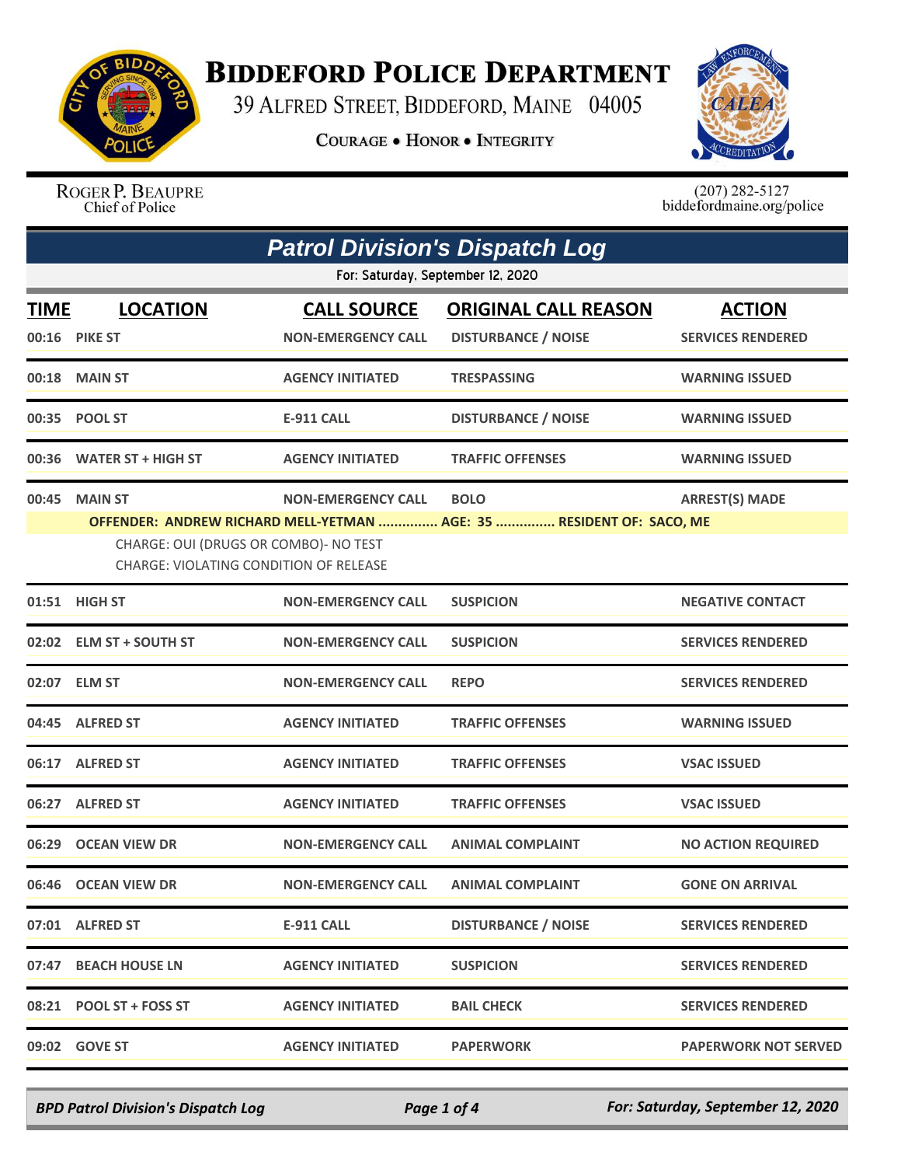

## **BIDDEFORD POLICE DEPARTMENT**

39 ALFRED STREET, BIDDEFORD, MAINE 04005

**COURAGE . HONOR . INTEGRITY** 



ROGER P. BEAUPRE<br>Chief of Police

 $(207)$  282-5127<br>biddefordmaine.org/police

|                                                                                                                                                                                                                                                                | <b>Patrol Division's Dispatch Log</b> |                                                 |                                                           |                                           |  |  |
|----------------------------------------------------------------------------------------------------------------------------------------------------------------------------------------------------------------------------------------------------------------|---------------------------------------|-------------------------------------------------|-----------------------------------------------------------|-------------------------------------------|--|--|
|                                                                                                                                                                                                                                                                | For: Saturday, September 12, 2020     |                                                 |                                                           |                                           |  |  |
| <b>TIME</b>                                                                                                                                                                                                                                                    | <b>LOCATION</b><br>00:16 PIKE ST      | <b>CALL SOURCE</b><br><b>NON-EMERGENCY CALL</b> | <b>ORIGINAL CALL REASON</b><br><b>DISTURBANCE / NOISE</b> | <b>ACTION</b><br><b>SERVICES RENDERED</b> |  |  |
|                                                                                                                                                                                                                                                                | 00:18 MAIN ST                         | <b>AGENCY INITIATED</b>                         | <b>TRESPASSING</b>                                        | <b>WARNING ISSUED</b>                     |  |  |
|                                                                                                                                                                                                                                                                | 00:35 POOL ST                         | <b>E-911 CALL</b>                               | <b>DISTURBANCE / NOISE</b>                                | <b>WARNING ISSUED</b>                     |  |  |
|                                                                                                                                                                                                                                                                | 00:36 WATER ST + HIGH ST              | <b>AGENCY INITIATED</b>                         | <b>TRAFFIC OFFENSES</b>                                   | <b>WARNING ISSUED</b>                     |  |  |
| 00:45<br><b>MAIN ST</b><br><b>NON-EMERGENCY CALL</b><br><b>BOLO</b><br><b>ARREST(S) MADE</b><br>OFFENDER: ANDREW RICHARD MELL-YETMAN  AGE: 35  RESIDENT OF: SACO, ME<br>CHARGE: OUI (DRUGS OR COMBO)- NO TEST<br><b>CHARGE: VIOLATING CONDITION OF RELEASE</b> |                                       |                                                 |                                                           |                                           |  |  |
|                                                                                                                                                                                                                                                                | 01:51 HIGH ST                         | <b>NON-EMERGENCY CALL</b>                       | <b>SUSPICION</b>                                          | <b>NEGATIVE CONTACT</b>                   |  |  |
|                                                                                                                                                                                                                                                                | 02:02 ELM ST + SOUTH ST               | <b>NON-EMERGENCY CALL</b>                       | <b>SUSPICION</b>                                          | <b>SERVICES RENDERED</b>                  |  |  |
|                                                                                                                                                                                                                                                                | 02:07 ELM ST                          | <b>NON-EMERGENCY CALL</b>                       | <b>REPO</b>                                               | <b>SERVICES RENDERED</b>                  |  |  |
|                                                                                                                                                                                                                                                                | 04:45 ALFRED ST                       | <b>AGENCY INITIATED</b>                         | <b>TRAFFIC OFFENSES</b>                                   | <b>WARNING ISSUED</b>                     |  |  |
|                                                                                                                                                                                                                                                                | 06:17 ALFRED ST                       | <b>AGENCY INITIATED</b>                         | <b>TRAFFIC OFFENSES</b>                                   | <b>VSAC ISSUED</b>                        |  |  |
|                                                                                                                                                                                                                                                                | 06:27 ALFRED ST                       | <b>AGENCY INITIATED</b>                         | <b>TRAFFIC OFFENSES</b>                                   | <b>VSAC ISSUED</b>                        |  |  |
|                                                                                                                                                                                                                                                                | 06:29 OCEAN VIEW DR                   | <b>NON-EMERGENCY CALL</b>                       | <b>ANIMAL COMPLAINT</b>                                   | <b>NO ACTION REQUIRED</b>                 |  |  |
|                                                                                                                                                                                                                                                                | 06:46 OCEAN VIEW DR                   | <b>NON-EMERGENCY CALL</b>                       | <b>ANIMAL COMPLAINT</b>                                   | <b>GONE ON ARRIVAL</b>                    |  |  |
|                                                                                                                                                                                                                                                                | 07:01 ALFRED ST                       | <b>E-911 CALL</b>                               | <b>DISTURBANCE / NOISE</b>                                | <b>SERVICES RENDERED</b>                  |  |  |
|                                                                                                                                                                                                                                                                | 07:47 BEACH HOUSE LN                  | <b>AGENCY INITIATED</b>                         | <b>SUSPICION</b>                                          | <b>SERVICES RENDERED</b>                  |  |  |
|                                                                                                                                                                                                                                                                | 08:21 POOL ST + FOSS ST               | <b>AGENCY INITIATED</b>                         | <b>BAIL CHECK</b>                                         | <b>SERVICES RENDERED</b>                  |  |  |
|                                                                                                                                                                                                                                                                | 09:02 GOVE ST                         | <b>AGENCY INITIATED</b>                         | <b>PAPERWORK</b>                                          | <b>PAPERWORK NOT SERVED</b>               |  |  |

*BPD Patrol Division's Dispatch Log Page 1 of 4 For: Saturday, September 12, 2020*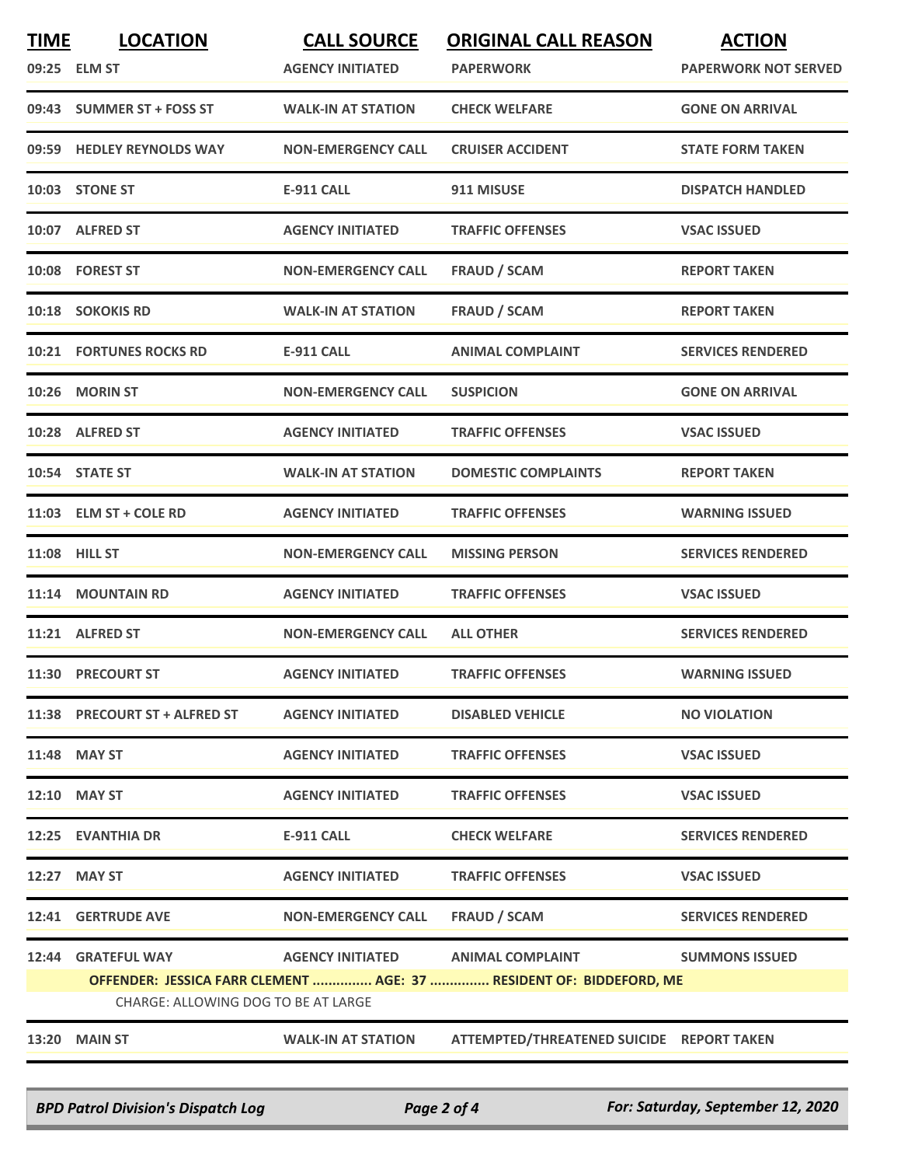| <u>TIME</u>                                                                                                | <b>LOCATION</b><br>09:25 ELM ST | <b>CALL SOURCE</b><br><b>AGENCY INITIATED</b> | <b>ORIGINAL CALL REASON</b><br><b>PAPERWORK</b>             | <b>ACTION</b><br><b>PAPERWORK NOT SERVED</b> |
|------------------------------------------------------------------------------------------------------------|---------------------------------|-----------------------------------------------|-------------------------------------------------------------|----------------------------------------------|
|                                                                                                            | 09:43 SUMMER ST + FOSS ST       | <b>WALK-IN AT STATION</b>                     | <b>CHECK WELFARE</b>                                        | <b>GONE ON ARRIVAL</b>                       |
|                                                                                                            | 09:59 HEDLEY REYNOLDS WAY       | <b>NON-EMERGENCY CALL</b>                     | <b>CRUISER ACCIDENT</b>                                     | <b>STATE FORM TAKEN</b>                      |
|                                                                                                            | 10:03 STONE ST                  | <b>E-911 CALL</b>                             | 911 MISUSE                                                  | <b>DISPATCH HANDLED</b>                      |
|                                                                                                            | 10:07 ALFRED ST                 | <b>AGENCY INITIATED</b>                       | <b>TRAFFIC OFFENSES</b>                                     | <b>VSAC ISSUED</b>                           |
|                                                                                                            | 10:08 FOREST ST                 | <b>NON-EMERGENCY CALL</b>                     | <b>FRAUD / SCAM</b>                                         | <b>REPORT TAKEN</b>                          |
|                                                                                                            | 10:18 SOKOKIS RD                | <b>WALK-IN AT STATION</b>                     | <b>FRAUD / SCAM</b>                                         | <b>REPORT TAKEN</b>                          |
|                                                                                                            | <b>10:21 FORTUNES ROCKS RD</b>  | <b>E-911 CALL</b>                             | <b>ANIMAL COMPLAINT</b>                                     | <b>SERVICES RENDERED</b>                     |
|                                                                                                            | 10:26 MORIN ST                  | <b>NON-EMERGENCY CALL</b>                     | <b>SUSPICION</b>                                            | <b>GONE ON ARRIVAL</b>                       |
|                                                                                                            | 10:28 ALFRED ST                 | <b>AGENCY INITIATED</b>                       | <b>TRAFFIC OFFENSES</b>                                     | <b>VSAC ISSUED</b>                           |
|                                                                                                            | 10:54 STATE ST                  | <b>WALK-IN AT STATION</b>                     | <b>DOMESTIC COMPLAINTS</b>                                  | <b>REPORT TAKEN</b>                          |
|                                                                                                            | 11:03 ELM ST + COLE RD          | <b>AGENCY INITIATED</b>                       | <b>TRAFFIC OFFENSES</b>                                     | <b>WARNING ISSUED</b>                        |
|                                                                                                            | 11:08 HILL ST                   | <b>NON-EMERGENCY CALL</b>                     | <b>MISSING PERSON</b>                                       | <b>SERVICES RENDERED</b>                     |
| 11:14                                                                                                      | <b>MOUNTAIN RD</b>              | <b>AGENCY INITIATED</b>                       | <b>TRAFFIC OFFENSES</b>                                     | <b>VSAC ISSUED</b>                           |
|                                                                                                            | 11:21 ALFRED ST                 | <b>NON-EMERGENCY CALL</b>                     | <b>ALL OTHER</b>                                            | <b>SERVICES RENDERED</b>                     |
|                                                                                                            | 11:30 PRECOURT ST               | <b>AGENCY INITIATED</b>                       | <b>TRAFFIC OFFENSES</b>                                     | <b>WARNING ISSUED</b>                        |
|                                                                                                            | 11:38 PRECOURT ST + ALFRED ST   | <b>AGENCY INITIATED</b>                       | <b>DISABLED VEHICLE</b>                                     | <b>NO VIOLATION</b>                          |
|                                                                                                            | 11:48 MAY ST                    | <b>AGENCY INITIATED</b>                       | <b>TRAFFIC OFFENSES</b>                                     | <b>VSAC ISSUED</b>                           |
|                                                                                                            | 12:10 MAY ST                    | <b>AGENCY INITIATED</b>                       | <b>TRAFFIC OFFENSES</b>                                     | <b>VSAC ISSUED</b>                           |
|                                                                                                            | 12:25 EVANTHIA DR               | E-911 CALL                                    | <b>CHECK WELFARE</b>                                        | <b>SERVICES RENDERED</b>                     |
|                                                                                                            | 12:27 MAY ST                    | <b>AGENCY INITIATED</b>                       | <b>TRAFFIC OFFENSES</b>                                     | <b>VSAC ISSUED</b>                           |
|                                                                                                            | 12:41 GERTRUDE AVE              | <b>NON-EMERGENCY CALL</b>                     | FRAUD / SCAM                                                | <b>SERVICES RENDERED</b>                     |
|                                                                                                            |                                 |                                               | 12:44 GRATEFUL WAY <b>AGENCY INITIATED</b> ANIMAL COMPLAINT | <b>SUMMONS ISSUED</b>                        |
| OFFENDER: JESSICA FARR CLEMENT  AGE: 37  RESIDENT OF: BIDDEFORD, ME<br>CHARGE: ALLOWING DOG TO BE AT LARGE |                                 |                                               |                                                             |                                              |
|                                                                                                            | <b>13:20 MAIN ST</b>            | <b>WALK-IN AT STATION</b>                     | ATTEMPTED/THREATENED SUICIDE REPORT TAKEN                   |                                              |

*BPD Patrol Division's Dispatch Log Page 2 of 4 For: Saturday, September 12, 2020*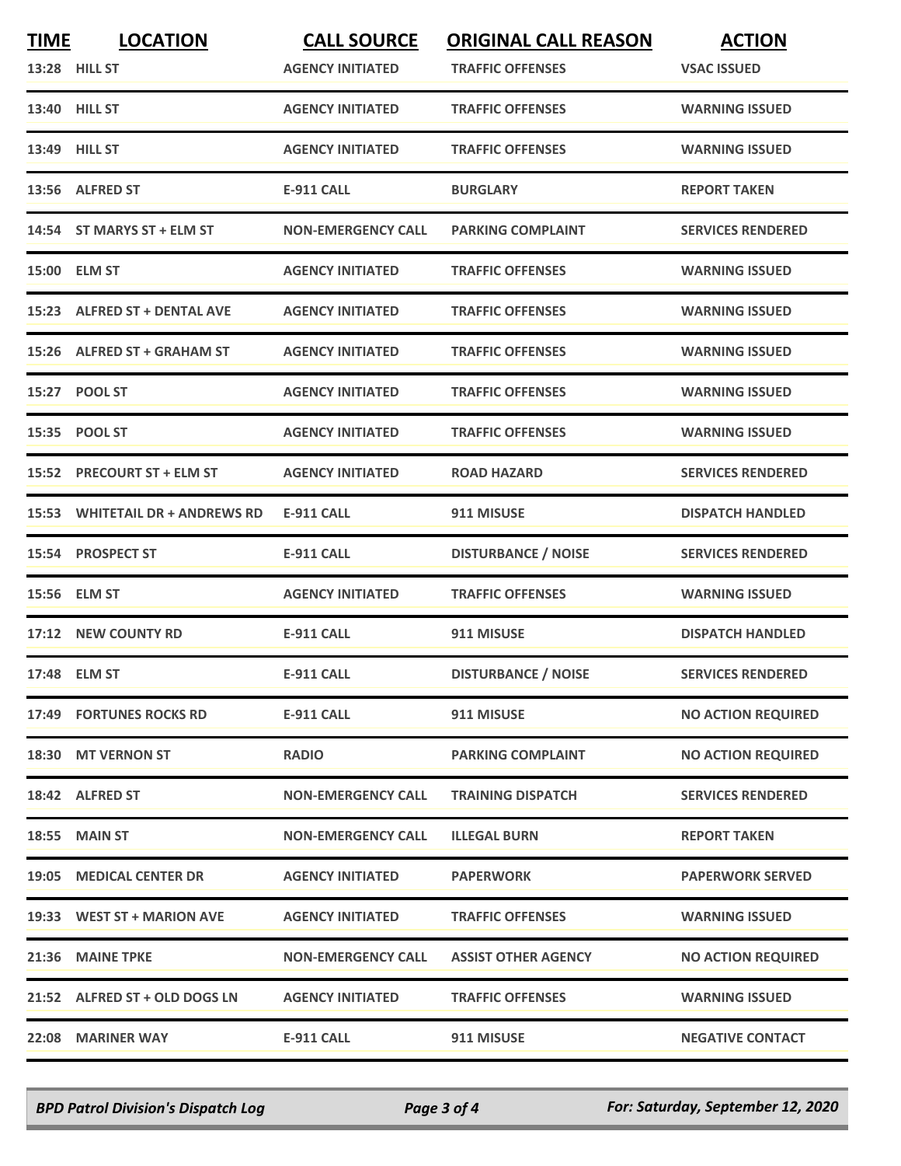| <b>TIME</b> | <b>LOCATION</b><br>13:28 HILL ST | <b>CALL SOURCE</b><br><b>AGENCY INITIATED</b> | <b>ORIGINAL CALL REASON</b><br><b>TRAFFIC OFFENSES</b> | <b>ACTION</b><br><b>VSAC ISSUED</b> |
|-------------|----------------------------------|-----------------------------------------------|--------------------------------------------------------|-------------------------------------|
|             | 13:40 HILL ST                    | <b>AGENCY INITIATED</b>                       | <b>TRAFFIC OFFENSES</b>                                | <b>WARNING ISSUED</b>               |
|             | 13:49 HILL ST                    | <b>AGENCY INITIATED</b>                       | <b>TRAFFIC OFFENSES</b>                                | <b>WARNING ISSUED</b>               |
|             | 13:56 ALFRED ST                  | <b>E-911 CALL</b>                             | <b>BURGLARY</b>                                        | <b>REPORT TAKEN</b>                 |
|             | 14:54 ST MARYS ST + ELM ST       | <b>NON-EMERGENCY CALL</b>                     | <b>PARKING COMPLAINT</b>                               | <b>SERVICES RENDERED</b>            |
|             | 15:00 ELM ST                     | <b>AGENCY INITIATED</b>                       | <b>TRAFFIC OFFENSES</b>                                | <b>WARNING ISSUED</b>               |
|             | 15:23 ALFRED ST + DENTAL AVE     | <b>AGENCY INITIATED</b>                       | <b>TRAFFIC OFFENSES</b>                                | <b>WARNING ISSUED</b>               |
|             | 15:26 ALFRED ST + GRAHAM ST      | <b>AGENCY INITIATED</b>                       | <b>TRAFFIC OFFENSES</b>                                | <b>WARNING ISSUED</b>               |
|             | 15:27 POOL ST                    | <b>AGENCY INITIATED</b>                       | <b>TRAFFIC OFFENSES</b>                                | <b>WARNING ISSUED</b>               |
|             | 15:35 POOL ST                    | <b>AGENCY INITIATED</b>                       | <b>TRAFFIC OFFENSES</b>                                | <b>WARNING ISSUED</b>               |
|             | 15:52 PRECOURT ST + ELM ST       | <b>AGENCY INITIATED</b>                       | <b>ROAD HAZARD</b>                                     | <b>SERVICES RENDERED</b>            |
|             | 15:53 WHITETAIL DR + ANDREWS RD  | <b>E-911 CALL</b>                             | 911 MISUSE                                             | <b>DISPATCH HANDLED</b>             |
|             | 15:54 PROSPECT ST                | <b>E-911 CALL</b>                             | <b>DISTURBANCE / NOISE</b>                             | <b>SERVICES RENDERED</b>            |
|             | 15:56 ELM ST                     | <b>AGENCY INITIATED</b>                       | <b>TRAFFIC OFFENSES</b>                                | <b>WARNING ISSUED</b>               |
|             | 17:12 NEW COUNTY RD              | <b>E-911 CALL</b>                             | 911 MISUSE                                             | <b>DISPATCH HANDLED</b>             |
|             | 17:48 ELM ST                     | <b>E-911 CALL</b>                             | <b>DISTURBANCE / NOISE</b>                             | <b>SERVICES RENDERED</b>            |
|             | 17:49 FORTUNES ROCKS RD          | <b>E-911 CALL</b>                             | 911 MISUSE                                             | <b>NO ACTION REQUIRED</b>           |
|             | 18:30 MT VERNON ST               | <b>RADIO</b>                                  | <b>PARKING COMPLAINT</b>                               | <b>NO ACTION REQUIRED</b>           |
|             | 18:42 ALFRED ST                  | <b>NON-EMERGENCY CALL</b>                     | <b>TRAINING DISPATCH</b>                               | <b>SERVICES RENDERED</b>            |
|             | 18:55 MAIN ST                    | <b>NON-EMERGENCY CALL</b>                     | <b>ILLEGAL BURN</b>                                    | <b>REPORT TAKEN</b>                 |
|             | 19:05 MEDICAL CENTER DR          | <b>AGENCY INITIATED</b>                       | <b>PAPERWORK</b>                                       | <b>PAPERWORK SERVED</b>             |
|             | 19:33 WEST ST + MARION AVE       | <b>AGENCY INITIATED</b>                       | <b>TRAFFIC OFFENSES</b>                                | <b>WARNING ISSUED</b>               |
|             | 21:36 MAINE TPKE                 | <b>NON-EMERGENCY CALL</b>                     | <b>ASSIST OTHER AGENCY</b>                             | <b>NO ACTION REQUIRED</b>           |
|             | 21:52 ALFRED ST + OLD DOGS LN    | <b>AGENCY INITIATED</b>                       | <b>TRAFFIC OFFENSES</b>                                | <b>WARNING ISSUED</b>               |
|             | 22:08 MARINER WAY                | E-911 CALL                                    | 911 MISUSE                                             | <b>NEGATIVE CONTACT</b>             |

*BPD Patrol Division's Dispatch Log Page 3 of 4 For: Saturday, September 12, 2020*